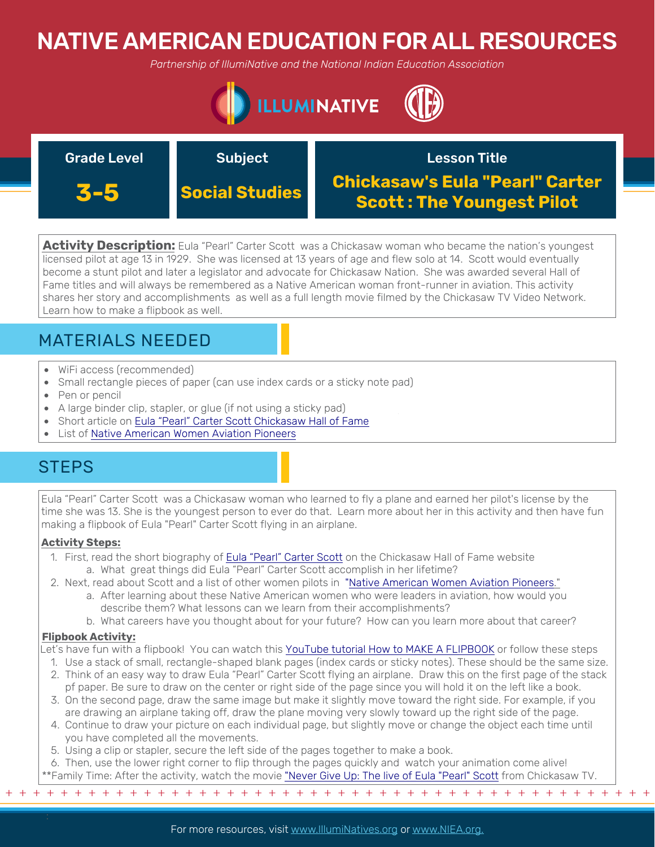# NATIVE AMERICAN EDUCATION FOR ALL RESOURCES

*Partnership of IllumiNative and the National Indian Education Association*



### Grade Level **Subject 3-5 Social Studies** Lesson Title **Chickasaw's Eula "Pearl" Carter Scott : The Youngest Pilot**

**Activity Description:** Eula "Pearl" Carter Scott was a Chickasaw woman who became the nation's youngest licensed pilot at age 13 in 1929. She was licensed at 13 years of age and flew solo at 14. Scott would eventually become a stunt pilot and later a legislator and advocate for Chickasaw Nation. She was awarded several Hall of Fame titles and will always be remembered as a Native American woman front-runner in aviation. This activity shares her story and accomplishments as well as a full length movie filmed by the Chickasaw TV Video Network. Learn how to make a flipbook as well.

## MATERIALS NEEDED

- WiFi access (recommended)
- Small rectangle pieces of paper (can use index cards or a sticky note pad)
- Pen or pencil
- A large binder clip, stapler, or glue (if not using a sticky pad)
- Short article on [Eula "Pearl" Carter Scott Chickasaw Hall of Fame](https://hof.chickasaw.net/Members/1995/Pearl-Carter-Scott.aspx)
- List of [Native American Women Aviation Pioneers](https://airandspace.si.edu/stories/editorial/native-american-women-aviation-pioneers)

### **STEPS**

Eula "Pearl" Carter Scott was a Chickasaw woman who learned to fly a plane and earned her pilot's license by the time she was 13. She is the youngest person to ever do that. Learn more about her in this activity and then have fun making a flipbook of Eula "Pearl" Carter Scott flying in an airplane.

### **Activity Steps:**

- 1. First, read the short [biography of Eula "Pearl" Carter Scott](https://hof.chickasaw.net/Members/1995/Pearl-Carter-Scott.aspx) on the Chickasaw Hall of Fame website a. What great things did Eula "Pearl" Carter Scott accomplish in her lifetime?
- 2. Next, read about Scott and a list of other women pilots in ["Native American Women Aviation Pioneers](https://airandspace.si.edu/stories/editorial/native-american-women-aviation-pioneers)."
	- a. After learning about these Native American women who were leaders in aviation, how would you describe them? What lessons can we learn from their accomplishments?
	- b. What careers have you thought about for your future? How can you learn more about that career?

### **Flipbook Activity:**

- Let's have fun with a flipbook! You can watch this [YouTube tutorial How to MAKE A FLIPBOOK](https://www.youtube.com/watch?time_continue=10&v=Un-BdBSOGKY&feature=emb_logo) or follow these steps
	- 1. Use a stack of small, rectangle-shaped blank pages (index cards or sticky notes). These should be the same size.
	- 2. Think of an easy way to draw Eula "Pearl" Carter Scott flying an airplane. Draw this on the first page of the stack pf paper. Be sure to draw on the center or right side of the page since you will hold it on the left like a book.
	- 3. On the second page, draw the same image but make it slightly move toward the right side. For example, if you are drawing an airplane taking off, draw the plane moving very slowly toward up the right side of the page.
	- 4. Continue to draw your picture on each individual page, but slightly move or change the object each time until you have completed all the movements.
	- 5. Using a clip or stapler, secure the left side of the pages together to make a book.

6. Then, use the lower right corner to flip through the pages quickly and watch your animation come alive! \*\*Family Time: After the activity, watch the movie ["Never Give Up: The live of Eula "Pearl" Scott](https://www.chickasaw.tv/episodes/feature-films-season-1-episode-1-pearl) from Chickasaw TV.